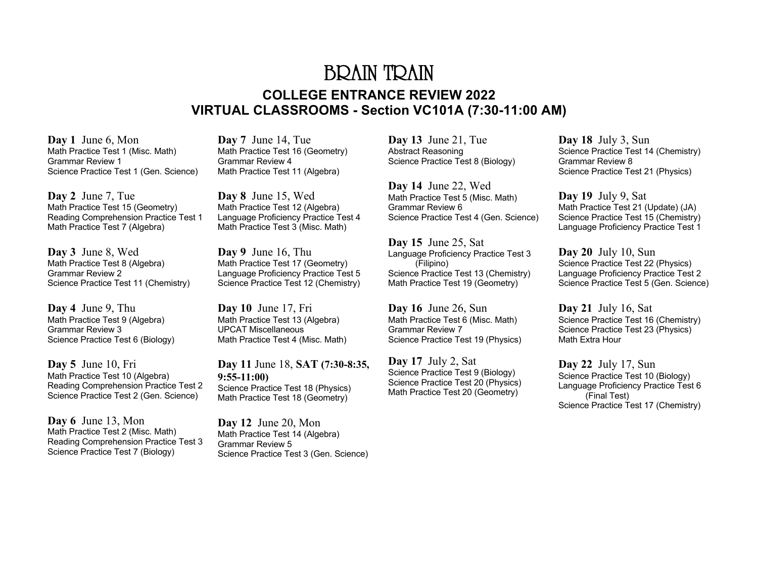## BRAIN TRAIN **COLLEGE ENTRANCE REVIEW 2022 VIRTUAL CLASSROOMS - Section VC101A (7:30-11:00 AM)**

**Day 1** June 6, Mon Math Practice Test 1 (Misc. Math) Grammar Review 1 Science Practice Test 1 (Gen. Science)

**Day 2** June 7, Tue Math Practice Test 15 (Geometry) Reading Comprehension Practice Test 1 Math Practice Test 7 (Algebra)

**Day 3** June 8, Wed Math Practice Test 8 (Algebra) Grammar Review 2 Science Practice Test 11 (Chemistry)

**Day 4** June 9, Thu Math Practice Test 9 (Algebra) Grammar Review 3 Science Practice Test 6 (Biology)

**Day 5** June 10, Fri Math Practice Test 10 (Algebra) Reading Comprehension Practice Test 2 Science Practice Test 2 (Gen. Science)

**Day 6** June 13, Mon Math Practice Test 2 (Misc. Math) Reading Comprehension Practice Test 3 Science Practice Test 7 (Biology)

**Day 7** June 14, Tue Math Practice Test 16 (Geometry) Grammar Review 4 Math Practice Test 11 (Algebra)

**Day 8** June 15, Wed Math Practice Test 12 (Algebra) Language Proficiency Practice Test 4 Math Practice Test 3 (Misc. Math)

**Day 9** June 16, Thu Math Practice Test 17 (Geometry) Language Proficiency Practice Test 5 Science Practice Test 12 (Chemistry)

**Day 10** June 17, Fri Math Practice Test 13 (Algebra) UPCAT Miscellaneous Math Practice Test 4 (Misc. Math)

**Day 11** June 18, **SAT (7:30-8:35, 9:55-11:00)** Science Practice Test 18 (Physics) Math Practice Test 18 (Geometry)

**Day 12** June 20, Mon Math Practice Test 14 (Algebra) Grammar Review 5 Science Practice Test 3 (Gen. Science) **Day 13** June 21, Tue Abstract Reasoning Science Practice Test 8 (Biology)

**Day 14** June 22, Wed Math Practice Test 5 (Misc. Math) Grammar Review 6 Science Practice Test 4 (Gen. Science)

**Day 15** June 25, Sat Language Proficiency Practice Test 3 (Filipino) Science Practice Test 13 (Chemistry) Math Practice Test 19 (Geometry)

**Day 16** June 26, Sun Math Practice Test 6 (Misc. Math) Grammar Review 7 Science Practice Test 19 (Physics)

**Day 17** July 2, Sat Science Practice Test 9 (Biology) Science Practice Test 20 (Physics) Math Practice Test 20 (Geometry)

**Day 18** July 3, Sun Science Practice Test 14 (Chemistry) Grammar Review 8 Science Practice Test 21 (Physics)

**Day 19** July 9, Sat Math Practice Test 21 (Update) (JA) Science Practice Test 15 (Chemistry) Language Proficiency Practice Test 1

**Day 20** July 10, Sun Science Practice Test 22 (Physics) Language Proficiency Practice Test 2 Science Practice Test 5 (Gen. Science)

**Day 21** July 16, Sat Science Practice Test 16 (Chemistry) Science Practice Test 23 (Physics) Math Extra Hour

**Day 22** July 17, Sun Science Practice Test 10 (Biology) Language Proficiency Practice Test 6 (Final Test) Science Practice Test 17 (Chemistry)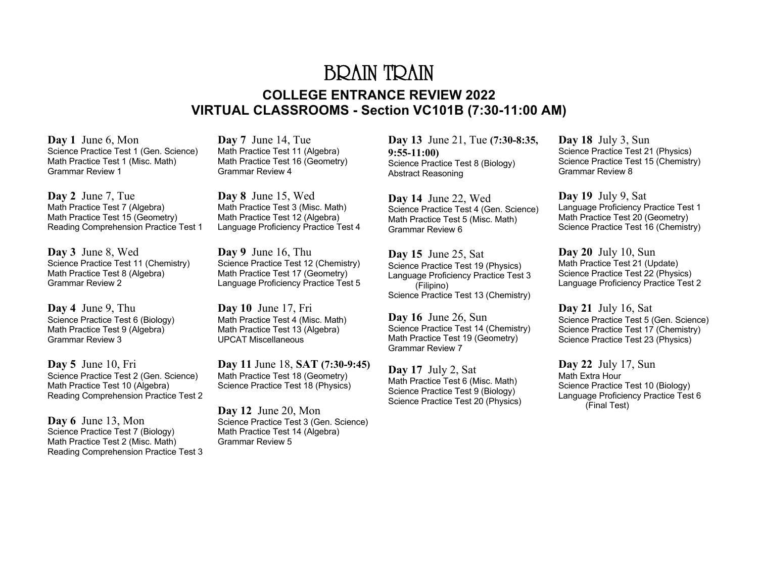## BRAIN TRAIN **COLLEGE ENTRANCE REVIEW 2022 VIRTUAL CLASSROOMS - Section VC101B (7:30-11:00 AM)**

**Day 1** June 6, Mon Science Practice Test 1 (Gen. Science) Math Practice Test 1 (Misc. Math) Grammar Review 1

**Day 2** June 7, Tue Math Practice Test 7 (Algebra) Math Practice Test 15 (Geometry) Reading Comprehension Practice Test 1

**Day 3** June 8, Wed Science Practice Test 11 (Chemistry) Math Practice Test 8 (Algebra) Grammar Review 2

**Day 4** June 9, Thu Science Practice Test 6 (Biology) Math Practice Test 9 (Algebra) Grammar Review 3

**Day 5** June 10, Fri Science Practice Test 2 (Gen. Science) Math Practice Test 10 (Algebra) Reading Comprehension Practice Test 2

**Day 6** June 13, Mon Science Practice Test 7 (Biology) Math Practice Test 2 (Misc. Math) Reading Comprehension Practice Test 3 **Day 7** June 14, Tue Math Practice Test 11 (Algebra) Math Practice Test 16 (Geometry) Grammar Review 4

**Day 8** June 15, Wed Math Practice Test 3 (Misc. Math) Math Practice Test 12 (Algebra) Language Proficiency Practice Test 4

**Day 9** June 16, Thu Science Practice Test 12 (Chemistry) Math Practice Test 17 (Geometry) Language Proficiency Practice Test 5

**Day 10** June 17, Fri Math Practice Test 4 (Misc. Math) Math Practice Test 13 (Algebra) UPCAT Miscellaneous

**Day 11** June 18, **SAT (7:30-9:45)** Math Practice Test 18 (Geometry) Science Practice Test 18 (Physics)

**Day 12** June 20, Mon Science Practice Test 3 (Gen. Science) Math Practice Test 14 (Algebra) Grammar Review 5

**Day 13** June 21, Tue **(7:30-8:35, 9:55-11:00)** Science Practice Test 8 (Biology) Abstract Reasoning

**Day 14** June 22, Wed Science Practice Test 4 (Gen. Science) Math Practice Test 5 (Misc. Math) Grammar Review 6

**Day 15** June 25, Sat Science Practice Test 19 (Physics) Language Proficiency Practice Test 3 (Filipino) Science Practice Test 13 (Chemistry)

**Day 16** June 26, Sun Science Practice Test 14 (Chemistry) Math Practice Test 19 (Geometry) Grammar Review 7

**Day 17** July 2, Sat Math Practice Test 6 (Misc. Math) Science Practice Test 9 (Biology) Science Practice Test 20 (Physics) **Day 18** July 3, Sun Science Practice Test 21 (Physics) Science Practice Test 15 (Chemistry) Grammar Review 8

**Day 19** July 9, Sat Language Proficiency Practice Test 1 Math Practice Test 20 (Geometry) Science Practice Test 16 (Chemistry)

**Day 20** July 10, Sun Math Practice Test 21 (Update) Science Practice Test 22 (Physics) Language Proficiency Practice Test 2

**Day 21** July 16, Sat Science Practice Test 5 (Gen. Science) Science Practice Test 17 (Chemistry) Science Practice Test 23 (Physics)

**Day 22** July 17, Sun Math Extra Hour Science Practice Test 10 (Biology) Language Proficiency Practice Test 6 (Final Test)